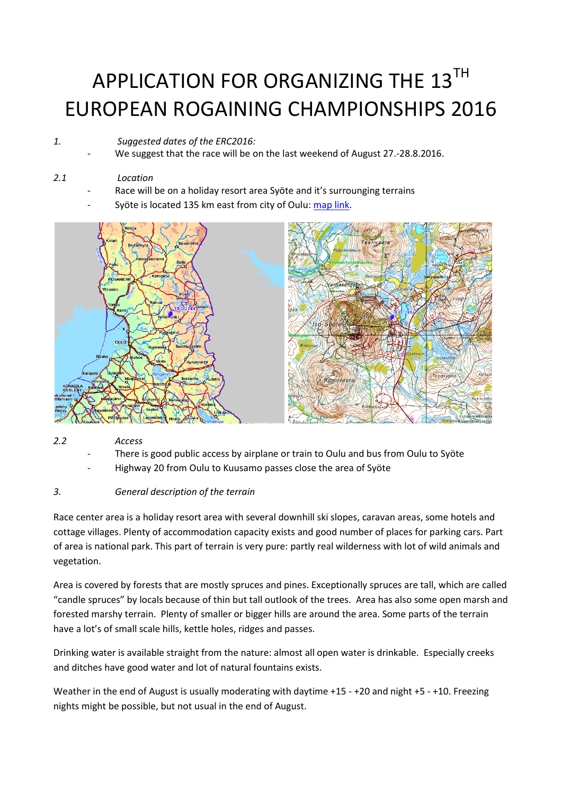# APPLICATION FOR ORGANIZING THE 13TH EUROPEAN ROGAINING CHAMPIONSHIPS 2016

# *1. Suggested dates of the ERC2016:*

We suggest that the race will be on the last weekend of August 27.-28.8.2016.

# *2.1 Location*

- Race will be on a holiday resort area Syöte and it's surrounging terrains
- Syöte is located 135 km east from city of Oulu: [map link.](http://kansalaisen.karttapaikka.fi/linkki?scale=80000&text=ERC+2016&srs=EPSG%3A3067&y=7278922&x=528481&lang=fi)



# *2.2 Access*

- There is good public access by airplane or train to Oulu and bus from Oulu to Syöte
- Highway 20 from Oulu to Kuusamo passes close the area of Syöte

# *3. General description of the terrain*

Race center area is a holiday resort area with several downhill ski slopes, caravan areas, some hotels and cottage villages. Plenty of accommodation capacity exists and good number of places for parking cars. Part of area is national park. This part of terrain is very pure: partly real wilderness with lot of wild animals and vegetation.

Area is covered by forests that are mostly spruces and pines. Exceptionally spruces are tall, which are called "candle spruces" by locals because of thin but tall outlook of the trees. Area has also some open marsh and forested marshy terrain. Plenty of smaller or bigger hills are around the area. Some parts of the terrain have a lot's of small scale hills, kettle holes, ridges and passes.

Drinking water is available straight from the nature: almost all open water is drinkable. Especially creeks and ditches have good water and lot of natural fountains exists.

Weather in the end of August is usually moderating with daytime +15 - +20 and night +5 - +10. Freezing nights might be possible, but not usual in the end of August.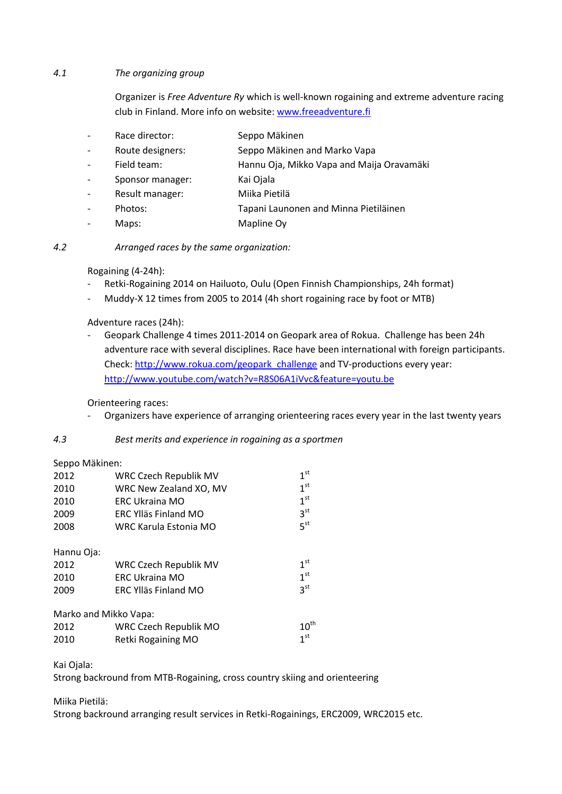#### *4.1 The organizing group*

Organizer is *Free Adventure Ry* which is well-known rogaining and extreme adventure racing club in Finland. More info on website[: www.freeadventure.fi](http://www.freeadventure.fi/)

- Race director: Seppo Mäkinen
- Route designers: Seppo Mäkinen and Marko Vapa
- Field team: Hannu Oja, Mikko Vapa and Maija Oravamäki
- Sponsor manager: Kai Ojala
- Result manager: Miika Pietilä
- Photos: Tapani Launonen and Minna Pietiläinen
- Maps: Mapline Ov
- *4.2 Arranged races by the same organization:*

Rogaining (4-24h):

- Retki-Rogaining 2014 on Hailuoto, Oulu (Open Finnish Championships, 24h format)
- Muddy-X 12 times from 2005 to 2014 (4h short rogaining race by foot or MTB)

Adventure races (24h):

Geopark Challenge 4 times 2011-2014 on Geopark area of Rokua. Challenge has been 24h adventure race with several disciplines. Race have been international with foreign participants. Check: [http://www.rokua.com/geopark\\_challenge](http://www.rokua.com/geopark_challenge) and TV-productions every year: <http://www.youtube.com/watch?v=R8S06A1iVvc&feature=youtu.be>

Orienteering races:

Organizers have experience of arranging orienteering races every year in the last twenty years

#### *4.3 Best merits and experience in rogaining as a sportmen*

#### Seppo Mäkinen:

| 2012       | WRC Czech Republik MV        | 1 <sup>st</sup>  |
|------------|------------------------------|------------------|
| 2010       | WRC New Zealand XO, MV       | 1 <sup>st</sup>  |
| 2010       | <b>ERC Ukraina MO</b>        | 1 <sup>st</sup>  |
| 2009       | <b>ERC Ylläs Finland MO</b>  | 3 <sup>st</sup>  |
| 2008       | WRC Karula Estonia MO        | 5 <sup>st</sup>  |
| Hannu Oja: |                              |                  |
| 2012       | <b>WRC Czech Republik MV</b> | $1^{\rm st}$     |
| 2010       | <b>ERC Ukraina MO</b>        | 1 <sup>st</sup>  |
| 2009       | ERC Ylläs Finland MO         | 3 <sup>st</sup>  |
|            | Marko and Mikko Vapa:        |                  |
| 2012       | WRC Czech Republik MO        | $10^{\text{th}}$ |
| 2010       | Retki Rogaining MO           | 1 <sup>st</sup>  |

Kai Ojala:

Strong backround from MTB-Rogaining, cross country skiing and orienteering

Miika Pietilä:

Strong backround arranging result services in Retki-Rogainings, ERC2009, WRC2015 etc.